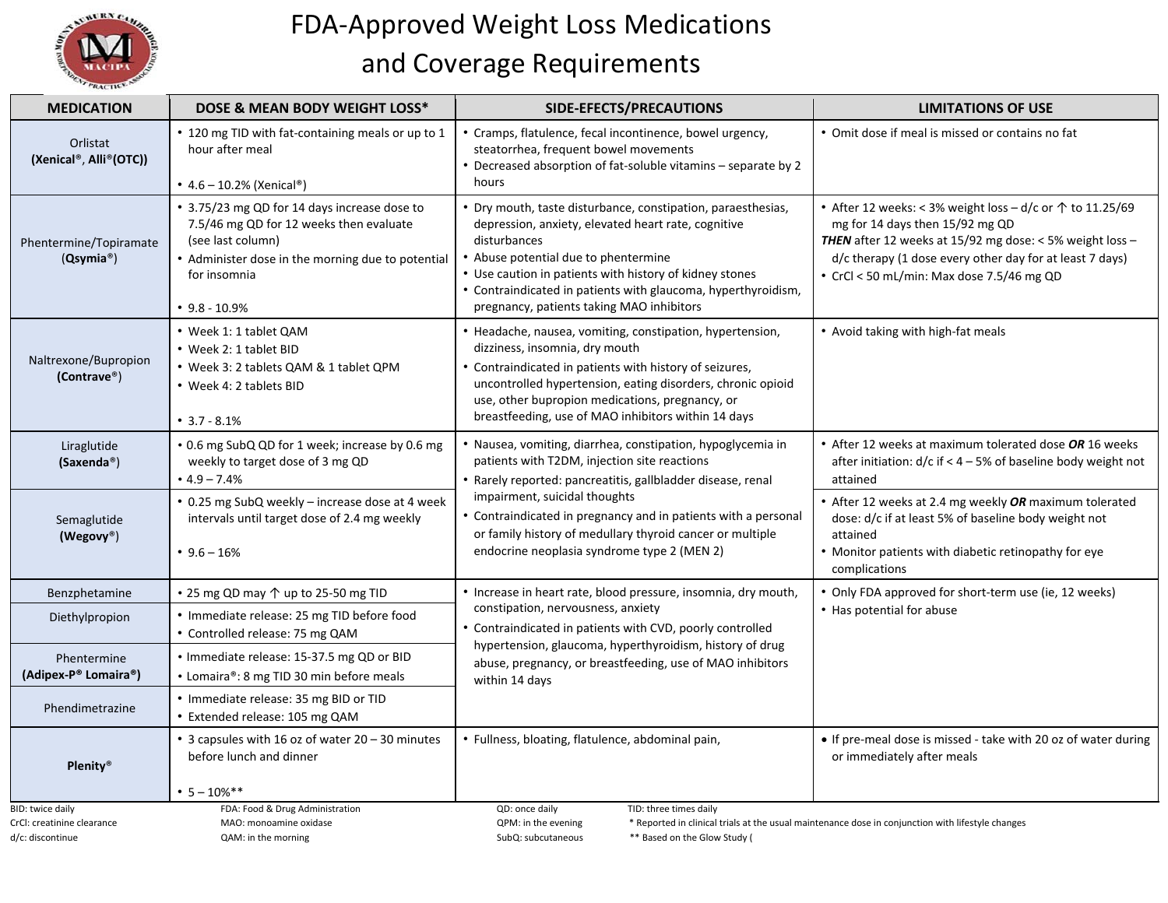

## FDA‐Approved Weight Loss Medications and Coverage Requirements

| <b>MEDICATION</b>                                                  | DOSE & MEAN BODY WEIGHT LOSS*                                                                                                                                                                        | SIDE-EFECTS/PRECAUTIONS                                                                                                                                                                                                                                                                                                                              | <b>LIMITATIONS OF USE</b>                                                                                                                                                                                                                                                  |  |
|--------------------------------------------------------------------|------------------------------------------------------------------------------------------------------------------------------------------------------------------------------------------------------|------------------------------------------------------------------------------------------------------------------------------------------------------------------------------------------------------------------------------------------------------------------------------------------------------------------------------------------------------|----------------------------------------------------------------------------------------------------------------------------------------------------------------------------------------------------------------------------------------------------------------------------|--|
| Orlistat<br>(Xenical®, Alli®(OTC))                                 | • 120 mg TID with fat-containing meals or up to 1<br>hour after meal<br>• $4.6 - 10.2%$ (Xenical®)                                                                                                   | • Cramps, flatulence, fecal incontinence, bowel urgency,<br>steatorrhea, frequent bowel movements<br>• Decreased absorption of fat-soluble vitamins - separate by 2<br>hours                                                                                                                                                                         | • Omit dose if meal is missed or contains no fat                                                                                                                                                                                                                           |  |
| Phentermine/Topiramate<br>(Q <sub>symia</sub> <sup>®</sup> )       | • 3.75/23 mg QD for 14 days increase dose to<br>7.5/46 mg QD for 12 weeks then evaluate<br>(see last column)<br>• Administer dose in the morning due to potential<br>for insomnia<br>$• 9.8 - 10.9%$ | • Dry mouth, taste disturbance, constipation, paraesthesias,<br>depression, anxiety, elevated heart rate, cognitive<br>disturbances<br>• Abuse potential due to phentermine<br>• Use caution in patients with history of kidney stones<br>• Contraindicated in patients with glaucoma, hyperthyroidism,<br>pregnancy, patients taking MAO inhibitors | • After 12 weeks: < 3% weight loss - d/c or $\uparrow$ to 11.25/69<br>mg for 14 days then 15/92 mg QD<br>THEN after 12 weeks at 15/92 mg dose: < 5% weight loss -<br>d/c therapy (1 dose every other day for at least 7 days)<br>• CrCl < 50 mL/min: Max dose 7.5/46 mg QD |  |
| Naltrexone/Bupropion<br>(Contrave®)                                | • Week 1: 1 tablet QAM<br>• Week 2: 1 tablet BID<br>• Week 3: 2 tablets QAM & 1 tablet QPM<br>• Week 4: 2 tablets BID<br>$• 3.7 - 8.1\%$                                                             | • Headache, nausea, vomiting, constipation, hypertension,<br>dizziness, insomnia, dry mouth<br>• Contraindicated in patients with history of seizures,<br>uncontrolled hypertension, eating disorders, chronic opioid<br>use, other bupropion medications, pregnancy, or<br>breastfeeding, use of MAO inhibitors within 14 days                      | • Avoid taking with high-fat meals                                                                                                                                                                                                                                         |  |
| Liraglutide<br>(Saxenda <sup>®</sup> )                             | • 0.6 mg SubQ QD for 1 week; increase by 0.6 mg<br>weekly to target dose of 3 mg QD<br>$\cdot$ 4.9 – 7.4%                                                                                            | • Nausea, vomiting, diarrhea, constipation, hypoglycemia in<br>patients with T2DM, injection site reactions<br>· Rarely reported: pancreatitis, gallbladder disease, renal                                                                                                                                                                           | • After 12 weeks at maximum tolerated dose OR 16 weeks<br>after initiation: $d/c$ if < 4 - 5% of baseline body weight not<br>attained                                                                                                                                      |  |
| Semaglutide<br>(Wegovy®)                                           | • 0.25 mg SubQ weekly - increase dose at 4 week<br>intervals until target dose of 2.4 mg weekly<br>$\cdot$ 9.6 – 16%                                                                                 | impairment, suicidal thoughts<br>• Contraindicated in pregnancy and in patients with a personal<br>or family history of medullary thyroid cancer or multiple<br>endocrine neoplasia syndrome type 2 (MEN 2)                                                                                                                                          | • After 12 weeks at 2.4 mg weekly OR maximum tolerated<br>dose: d/c if at least 5% of baseline body weight not<br>attained<br>• Monitor patients with diabetic retinopathy for eye<br>complications                                                                        |  |
| Benzphetamine                                                      | • 25 mg QD may ↑ up to 25-50 mg TID                                                                                                                                                                  | · Increase in heart rate, blood pressure, insomnia, dry mouth,                                                                                                                                                                                                                                                                                       | • Only FDA approved for short-term use (ie, 12 weeks)<br>• Has potential for abuse                                                                                                                                                                                         |  |
| Diethylpropion                                                     | • Immediate release: 25 mg TID before food<br>• Controlled release: 75 mg QAM                                                                                                                        | constipation, nervousness, anxiety<br>• Contraindicated in patients with CVD, poorly controlled                                                                                                                                                                                                                                                      |                                                                                                                                                                                                                                                                            |  |
| Phentermine<br>(Adipex-P® Lomaira®)                                | . Immediate release: 15-37.5 mg QD or BID<br>• Lomaira®: 8 mg TID 30 min before meals                                                                                                                | hypertension, glaucoma, hyperthyroidism, history of drug<br>abuse, pregnancy, or breastfeeding, use of MAO inhibitors<br>within 14 days                                                                                                                                                                                                              |                                                                                                                                                                                                                                                                            |  |
| Phendimetrazine                                                    | • Immediate release: 35 mg BID or TID<br>• Extended release: 105 mg QAM                                                                                                                              |                                                                                                                                                                                                                                                                                                                                                      |                                                                                                                                                                                                                                                                            |  |
| <b>Plenity®</b>                                                    | • 3 capsules with 16 oz of water 20 - 30 minutes<br>before lunch and dinner<br>$• 5 - 10%$ **                                                                                                        | • Fullness, bloating, flatulence, abdominal pain,                                                                                                                                                                                                                                                                                                    | • If pre-meal dose is missed - take with 20 oz of water during<br>or immediately after meals                                                                                                                                                                               |  |
| BID: twice daily<br>CrCl: creatinine clearance<br>d/c: discontinue | FDA: Food & Drug Administration<br>MAO: monoamine oxidase<br>QAM: in the morning                                                                                                                     | QD: once daily<br>TID: three times daily<br>QPM: in the evening<br>** Based on the Glow Study (<br>SubQ: subcutaneous                                                                                                                                                                                                                                | * Reported in clinical trials at the usual maintenance dose in conjunction with lifestyle changes                                                                                                                                                                          |  |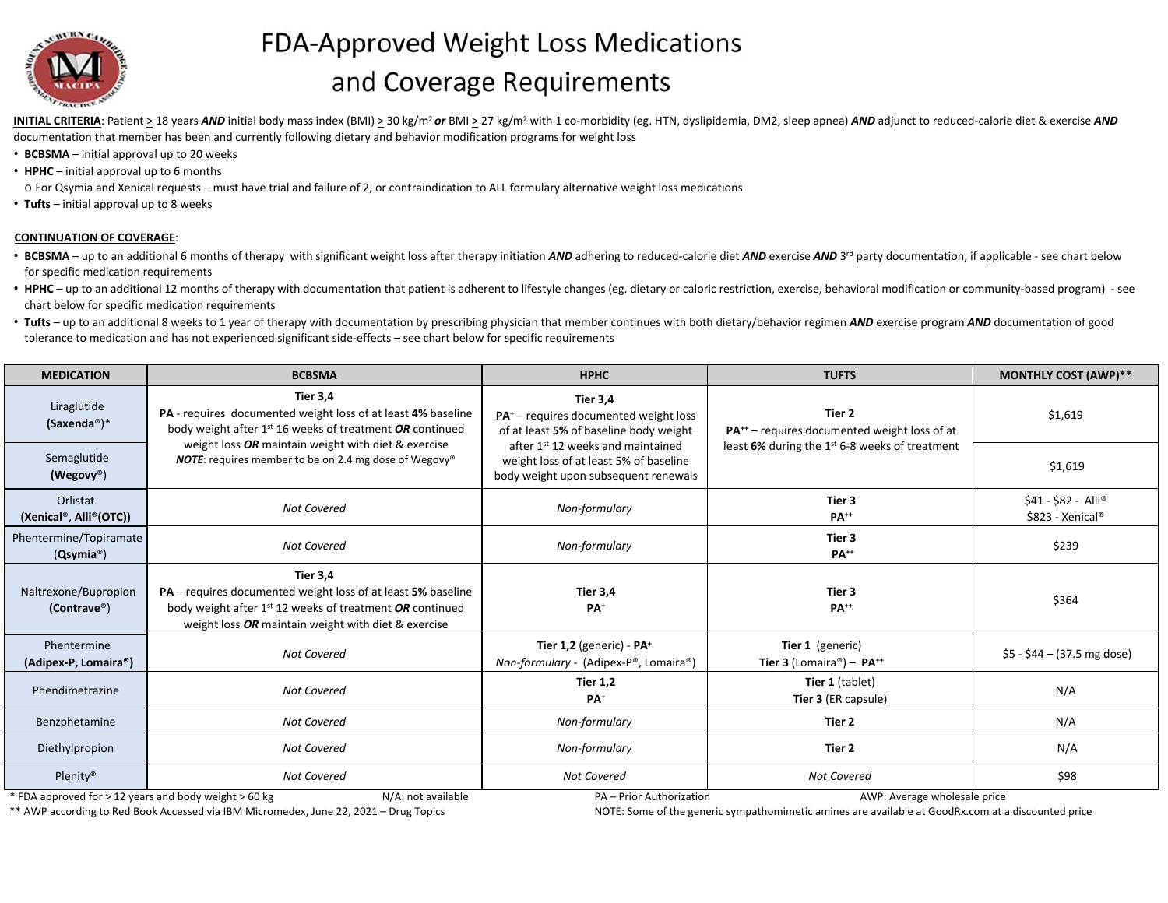

## FDA-Approved Weight Loss Medications and Coverage Requirements

INITIAL CRITERIA: Patient > 18 years AND initial body mass index (BMI) > 30 kg/m<sup>2</sup> or BMI > 27 kg/m<sup>2</sup> with 1 co-morbidity (eg. HTN, dyslipidemia, DM2, sleep apnea) AND adjunct to reduced-calorie diet & exercise AND documentation that member has been and currently following dietary and behavior modification programs for weight loss

- **BCBSMA** initial approval up to 20 weeks
- **HPHC** initial approval up to 6 months
- o For Qsymia and Xenical requests must have trial and failure of 2, or contraindication to ALL formulary alternative weight loss medications
- **Tufts** initial approval up to 8 weeks

## **CONTINUATION OF COVERAGE**:

- BCBSMA up to an additional 6 months of therapy with significant weight loss after therapy initiation AND adhering to reduced-calorie diet AND exercise AND 3<sup>rd</sup> party documentation, if applicable see chart below for specific medication requirements
- HPHC up to an additional 12 months of therapy with documentation that patient is adherent to lifestyle changes (eg. dietary or caloric restriction, exercise, behavioral modification or community-based program) see chart below for specific medication requirements
- Tufts up to an additional 8 weeks to 1 year of therapy with documentation by prescribing physician that member continues with both dietary/behavior regimen AND exercise program AND documentation of good tolerance to medication and has not experienced significant side‐effects – see chart below for specific requirements

| <b>MEDICATION</b>                                            | <b>BCBSMA</b>                                                                                                                                                                                                                                                                       | <b>HPHC</b>                                                                                                          | <b>TUFTS</b>                                                                                                                     | <b>MONTHLY COST (AWP)**</b>             |
|--------------------------------------------------------------|-------------------------------------------------------------------------------------------------------------------------------------------------------------------------------------------------------------------------------------------------------------------------------------|----------------------------------------------------------------------------------------------------------------------|----------------------------------------------------------------------------------------------------------------------------------|-----------------------------------------|
| Liraglutide<br>$(Saxenda^*)^*$                               | <b>Tier 3,4</b><br>PA - requires documented weight loss of at least 4% baseline<br>body weight after $1^{st}$ 16 weeks of treatment OR continued<br>weight loss OR maintain weight with diet & exercise<br><b>NOTE:</b> requires member to be on 2.4 mg dose of Wegovy <sup>®</sup> | <b>Tier 3.4</b><br><b>PA<sup>+</sup></b> – requires documented weight loss<br>of at least 5% of baseline body weight | Tier 2<br>PA <sup>++</sup> – requires documented weight loss of at<br>least 6% during the 1 <sup>st</sup> 6-8 weeks of treatment | \$1,619                                 |
| Semaglutide<br>(Wegovy®)                                     |                                                                                                                                                                                                                                                                                     | after 1st 12 weeks and maintained<br>weight loss of at least 5% of baseline<br>body weight upon subsequent renewals  |                                                                                                                                  | \$1,619                                 |
| Orlistat<br>(Xenical®, Alli®(OTC))                           | <b>Not Covered</b>                                                                                                                                                                                                                                                                  | Non-formulary                                                                                                        | Tier 3<br><b>PA++</b>                                                                                                            | \$41 - \$82 - Alli®<br>\$823 - Xenical® |
| Phentermine/Topiramate<br>(Q <sub>symia</sub> <sup>®</sup> ) | <b>Not Covered</b>                                                                                                                                                                                                                                                                  | Non-formulary                                                                                                        | Tier 3<br><b>PA<sup>++</sup></b>                                                                                                 | \$239                                   |
| Naltrexone/Bupropion<br>(Contract <sup>®</sup> )             | <b>Tier 3.4</b><br><b>PA</b> – requires documented weight loss of at least 5% baseline<br>body weight after 1 <sup>st</sup> 12 weeks of treatment OR continued<br>weight loss OR maintain weight with diet & exercise                                                               | Tier 3,4<br>PA <sup>+</sup>                                                                                          | Tier 3<br>PA <sup>++</sup>                                                                                                       | \$364                                   |
| Phentermine<br>(Adipex-P, Lomaira®)                          | <b>Not Covered</b>                                                                                                                                                                                                                                                                  | Tier 1,2 (generic) - PA <sup>+</sup><br>Non-formulary - (Adipex-P®, Lomaira®)                                        | Tier 1 (generic)<br>Tier 3 (Lomaira®) - $PA^{++}$                                                                                | $$5 - $44 - (37.5)$ mg dose)            |
| Phendimetrazine                                              | <b>Not Covered</b>                                                                                                                                                                                                                                                                  | <b>Tier 1,2</b><br>PA <sup>+</sup>                                                                                   | Tier 1 (tablet)<br>Tier 3 (ER capsule)                                                                                           | N/A                                     |
| Benzphetamine                                                | <b>Not Covered</b>                                                                                                                                                                                                                                                                  | Non-formulary                                                                                                        | Tier 2                                                                                                                           | N/A                                     |
| Diethylpropion                                               | <b>Not Covered</b>                                                                                                                                                                                                                                                                  | Non-formulary                                                                                                        | Tier 2                                                                                                                           | N/A                                     |
| Plenity <sup>®</sup>                                         | Not Covered                                                                                                                                                                                                                                                                         | <b>Not Covered</b>                                                                                                   | <b>Not Covered</b>                                                                                                               | \$98                                    |

\* FDA approved for > 12 years and body weight > 60 kg N/A: not available PA – Prior Authorization AWP: Average wholesale price

\*\* AWP according to Red Book Accessed via IBM Micromedex, June 22, 2021 – Drug Topics Matches and MOTE: Some of the generic sympathomimetic amines are available at GoodRx.com at a discounted price